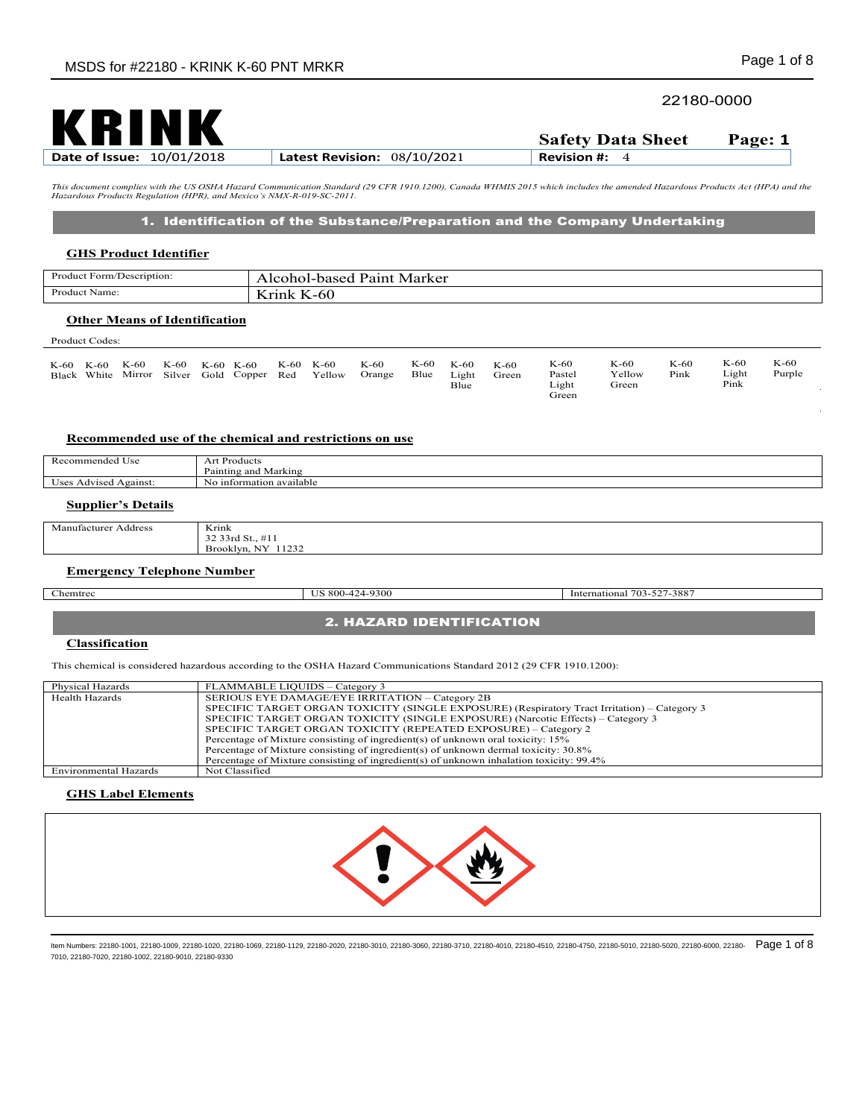# 22180-0000

| KKINK                            |                               | <b>Safety Data Sheet</b> | Page: 1 |
|----------------------------------|-------------------------------|--------------------------|---------|
| <b>Date of Issue: 10/01/2018</b> | Latest Revision: $08/10/2021$ | <b>Revision #:</b>       |         |

This document complies with the US OSHA Hazard Communication Standard (29 CFR 1910.1200), Canada WHMIS 2015 which includes the amended Hazardous Products Act (HPA) and the<br>Hazardous Products Regulation (HPR), and Mexico's

## 1. Identification of the Substance/Preparation and the Company Undertaking

### **GHS Product Identifier**

| Product Form/Description: | Marker<br>Pair<br>hogod<br>--<br>$\sim$ |
|---------------------------|-----------------------------------------|
| Product<br>Name:          | --<br>-<br>$\sim$<br>-00<br>x.          |
|                           |                                         |

# **Other Means of Identification**

r e Re E*i* 

| Product Codes: |  |
|----------------|--|
|----------------|--|

| K-60<br>K-60<br>Black White Mirror Silver | K-60 | K-60 | K-60 K-60 | Gold Copper Red | K-60 K-60 | Yellow | K-60<br>Orange | K-60<br>Blue | K-60<br>Light<br>Blue | K-60<br>Green | K-60<br>Pastel<br>Light<br>Green | K-60<br>Yellow<br>Green | K-60<br>Pink | K-60<br>Light<br>Pink | $K-60$<br>Purple |  |
|-------------------------------------------|------|------|-----------|-----------------|-----------|--------|----------------|--------------|-----------------------|---------------|----------------------------------|-------------------------|--------------|-----------------------|------------------|--|
|-------------------------------------------|------|------|-----------|-----------------|-----------|--------|----------------|--------------|-----------------------|---------------|----------------------------------|-------------------------|--------------|-----------------------|------------------|--|

#### **Recommended use of the chemical and restrictions on use**

| -<br>mmend<br>Usc                              | ---<br>.<br>эdи                    |
|------------------------------------------------|------------------------------------|
|                                                | D.<br>Marking<br>'aintin<br>r and  |
| 0.9105<br>0.00<br>GH.<br>$T$ $C$ $C$<br>гуашы. | available<br>untormation av:<br>Nκ |
|                                                |                                    |

### **Supplier's Details**

| Manufacturer $\lambda$<br>Address | Krink                                                                        |
|-----------------------------------|------------------------------------------------------------------------------|
|                                   | $\sim$<br>33rd St.,<br>৴৴<br>$\cdots$<br>the contract of the contract of the |
|                                   | <b>NY</b><br>1100<br>Brooklyn.<br>-41<br>-----<br>-----                      |

### **Emergency Telephone Number**

Chemtrec US 800-424-9300 International 703-527-3887

## 2. HAZARD IDENTIFICATION

#### **Classification**

This chemical is considered hazardous according to the OSHA Hazard Communications Standard 2012 (29 CFR 1910.1200):

| Physical Hazards      | FLAMMABLE LIQUIDS – Category 3                                                               |
|-----------------------|----------------------------------------------------------------------------------------------|
| Health Hazards        | SERIOUS EYE DAMAGE/EYE IRRITATION – Category 2B                                              |
|                       | SPECIFIC TARGET ORGAN TOXICITY (SINGLE EXPOSURE) (Respiratory Tract Irritation) - Category 3 |
|                       | SPECIFIC TARGET ORGAN TOXICITY (SINGLE EXPOSURE) (Narcotic Effects) – Category 3             |
|                       | SPECIFIC TARGET ORGAN TOXICITY (REPEATED EXPOSURE) - Category 2                              |
|                       | Percentage of Mixture consisting of ingredient(s) of unknown oral toxicity: 15%              |
|                       | Percentage of Mixture consisting of ingredient(s) of unknown dermal toxicity: 30.8%          |
|                       | Percentage of Mixture consisting of ingredient(s) of unknown inhalation toxicity: 99.4%      |
| Environmental Hazards | Not Classified                                                                               |

#### **GHS Label Elements**

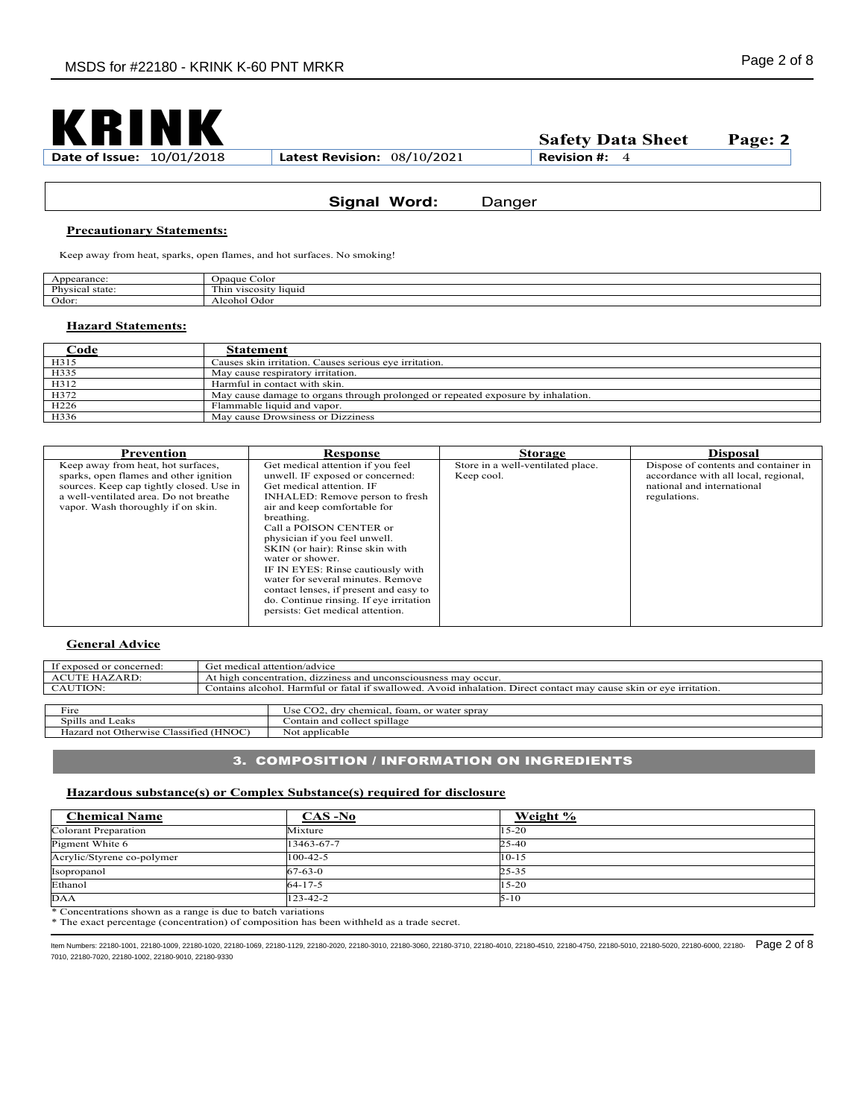

## **Signal Word:** Danger

### **Precautionary Statements:**

Keep away from heat, sparks, open flames, and hot surfaces. No smoking!

| earance:           | Jpaque (<br>Color                                 |
|--------------------|---------------------------------------------------|
| Physical<br>state: | <b>CONTRACTOR</b><br>-liquid<br>V1SCOS1U<br>. nın |
| Odor:              | $\sim$<br>hol Odoi<br>. Icoh                      |

#### **Hazard Statements:**

| Code                                 | Statement                                                                        |
|--------------------------------------|----------------------------------------------------------------------------------|
| H315                                 | Causes skin irritation. Causes serious eye irritation.                           |
| H335                                 | May cause respiratory irritation.                                                |
| H312                                 | Harmful in contact with skin.                                                    |
| H372                                 | May cause damage to organs through prolonged or repeated exposure by inhalation. |
| H <sub>226</sub><br>H <sub>336</sub> | Flammable liquid and vapor.                                                      |
|                                      | May cause Drowsiness or Dizziness                                                |

| Prevention                                                                                                                                                                                               | Response                                                                                                                                                                                                                                                                                                                                                                                                                                                                                                  | <b>Storage</b>                                  | <b>Disposal</b>                                                                                                            |
|----------------------------------------------------------------------------------------------------------------------------------------------------------------------------------------------------------|-----------------------------------------------------------------------------------------------------------------------------------------------------------------------------------------------------------------------------------------------------------------------------------------------------------------------------------------------------------------------------------------------------------------------------------------------------------------------------------------------------------|-------------------------------------------------|----------------------------------------------------------------------------------------------------------------------------|
| Keep away from heat, hot surfaces,<br>sparks, open flames and other ignition<br>sources. Keep cap tightly closed. Use in<br>a well-ventilated area. Do not breathe<br>vapor. Wash thoroughly if on skin. | Get medical attention if you feel<br>unwell. IF exposed or concerned:<br>Get medical attention. IF<br>INHALED: Remove person to fresh<br>air and keep comfortable for<br>breathing.<br>Call a POISON CENTER or<br>physician if you feel unwell.<br>SKIN (or hair): Rinse skin with<br>water or shower.<br>IF IN EYES: Rinse cautiously with<br>water for several minutes. Remove<br>contact lenses, if present and easy to<br>do. Continue rinsing. If eye irritation<br>persists: Get medical attention. | Store in a well-ventilated place.<br>Keep cool. | Dispose of contents and container in<br>accordance with all local, regional,<br>national and international<br>regulations. |

## **General Advice**

| If exposed or concerned:                                                         |  | Get medical attention/advice                                                                                        |
|----------------------------------------------------------------------------------|--|---------------------------------------------------------------------------------------------------------------------|
| ACUTE HAZARD:<br>At high concentration, dizziness and unconsciousness may occur. |  |                                                                                                                     |
| CAUTION:                                                                         |  | Contains alcohol. Harmful or fatal if swallowed. Avoid inhalation. Direct contact may cause skin or eve irritation. |
|                                                                                  |  |                                                                                                                     |
| Fire                                                                             |  | Use CO2, dry chemical, foam, or water spray                                                                         |
| Spills and Leaks                                                                 |  | Contain and collect spillage                                                                                        |
| Hazard not Otherwise Classified (HNOC)                                           |  | Not applicable                                                                                                      |

# 3. COMPOSITION / INFORMATION ON INGREDIENTS

#### **Hazardous substance(s) or Complex Substance(s) required for disclosure**

| <b>Chemical Name</b>                                         | $CAS-No$       | Weight %  |  |
|--------------------------------------------------------------|----------------|-----------|--|
| <b>Colorant Preparation</b>                                  | Mixture        | $15 - 20$ |  |
| Pigment White 6                                              | 13463-67-7     | $25 - 40$ |  |
| Acrylic/Styrene co-polymer                                   | $100 - 42 - 5$ | $10 - 15$ |  |
| Isopropanol                                                  | $67 - 63 - 0$  | $25 - 35$ |  |
| Ethanol                                                      | $64 - 17 - 5$  | $15 - 20$ |  |
| <b>DAA</b>                                                   | 123-42-2       | $5 - 10$  |  |
| * Concentrations shown as a range is due to batch variations |                |           |  |

\* The exact percentage (concentration) of composition has been withheld as a trade secret.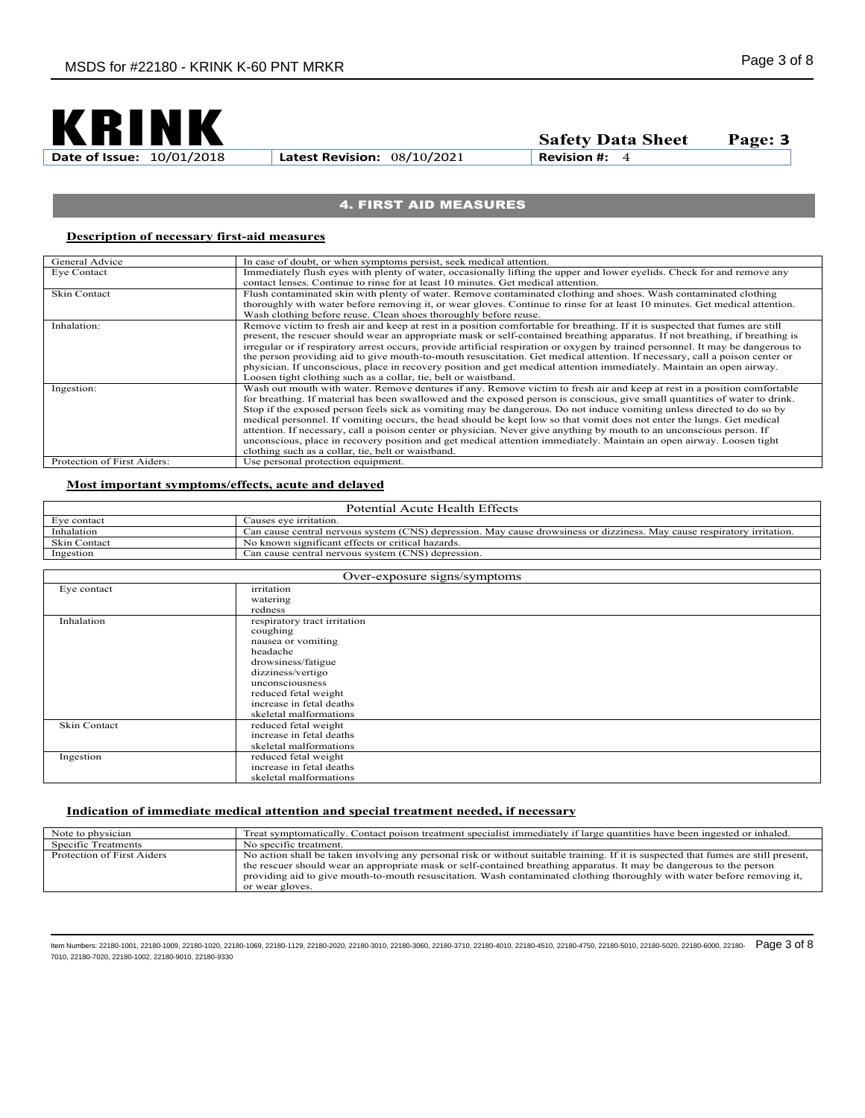

## 4. FIRST AID MEASURES

## **Description of necessary first-aid measures**

| General Advice              | In case of doubt, or when symptoms persist, seek medical attention.                                                              |
|-----------------------------|----------------------------------------------------------------------------------------------------------------------------------|
|                             |                                                                                                                                  |
| Eye Contact                 | Immediately flush eyes with plenty of water, occasionally lifting the upper and lower eyelids. Check for and remove any          |
|                             | contact lenses. Continue to rinse for at least 10 minutes. Get medical attention.                                                |
| <b>Skin Contact</b>         | Flush contaminated skin with plenty of water. Remove contaminated clothing and shoes. Wash contaminated clothing                 |
|                             | thoroughly with water before removing it, or wear gloves. Continue to rinse for at least 10 minutes. Get medical attention.      |
|                             | Wash clothing before reuse. Clean shoes thoroughly before reuse.                                                                 |
| Inhalation:                 | Remove victim to fresh air and keep at rest in a position comfortable for breathing. If it is suspected that fumes are still     |
|                             | present, the rescuer should wear an appropriate mask or self-contained breathing apparatus. If not breathing, if breathing is    |
|                             | irregular or if respiratory arrest occurs, provide artificial respiration or oxygen by trained personnel. It may be dangerous to |
|                             | the person providing aid to give mouth-to-mouth resuscitation. Get medical attention. If necessary, call a poison center or      |
|                             | physician. If unconscious, place in recovery position and get medical attention immediately. Maintain an open airway.            |
|                             | Loosen tight clothing such as a collar, tie, belt or waistband.                                                                  |
| Ingestion:                  | Wash out mouth with water. Remove dentures if any. Remove victim to fresh air and keep at rest in a position comfortable         |
|                             | for breathing. If material has been swallowed and the exposed person is conscious, give small quantities of water to drink.      |
|                             | Stop if the exposed person feels sick as vomiting may be dangerous. Do not induce vomiting unless directed to do so by           |
|                             | medical personnel. If vomiting occurs, the head should be kept low so that vomit does not enter the lungs. Get medical           |
|                             | attention. If necessary, call a poison center or physician. Never give anything by mouth to an unconscious person. If            |
|                             | unconscious, place in recovery position and get medical attention immediately. Maintain an open airway. Loosen tight             |
|                             | clothing such as a collar, tie, belt or waistband.                                                                               |
| Protection of First Aiders: | Use personal protection equipment.                                                                                               |

### **Most important symptoms/effects, acute and delayed**

| Eve contact<br>Causes eve irritation.                             |                                                                                                                         |
|-------------------------------------------------------------------|-------------------------------------------------------------------------------------------------------------------------|
|                                                                   |                                                                                                                         |
| Inhalation                                                        | Can cause central nervous system (CNS) depression. May cause drowsiness or dizziness. May cause respiratory irritation. |
| No known significant effects or critical hazards.<br>Skin Contact |                                                                                                                         |
| Ingestion<br>Can cause central nervous system (CNS) depression.   |                                                                                                                         |

| Over-exposure signs/symptoms |                                                                                                                                                                                                                        |  |
|------------------------------|------------------------------------------------------------------------------------------------------------------------------------------------------------------------------------------------------------------------|--|
| Eye contact                  | irritation<br>watering                                                                                                                                                                                                 |  |
|                              | redness                                                                                                                                                                                                                |  |
| Inhalation                   | respiratory tract irritation<br>coughing<br>nausea or vomiting<br>headache<br>drowsiness/fatigue<br>dizziness/vertigo<br>unconsciousness<br>reduced fetal weight<br>increase in fetal deaths<br>skeletal malformations |  |
| Skin Contact                 | reduced fetal weight<br>increase in fetal deaths<br>skeletal malformations                                                                                                                                             |  |
| Ingestion                    | reduced fetal weight<br>increase in fetal deaths<br>skeletal malformations                                                                                                                                             |  |

#### **Indication of immediate medical attention and special treatment needed, if necessary**

| Note to physician          | Treat symptomatically. Contact poison treatment specialist immediately if large quantities have been ingested or inhaled.                                                                                                                                                                                                                                                                                  |
|----------------------------|------------------------------------------------------------------------------------------------------------------------------------------------------------------------------------------------------------------------------------------------------------------------------------------------------------------------------------------------------------------------------------------------------------|
| Specific Treatments        | No specific treatment.                                                                                                                                                                                                                                                                                                                                                                                     |
| Protection of First Aiders | No action shall be taken involving any personal risk or without suitable training. If it is suspected that fumes are still present,<br>the rescuer should wear an appropriate mask or self-contained breathing apparatus. It may be dangerous to the person<br>providing aid to give mouth-to-mouth resuscitation. Wash contaminated clothing thoroughly with water before removing it,<br>or wear gloves. |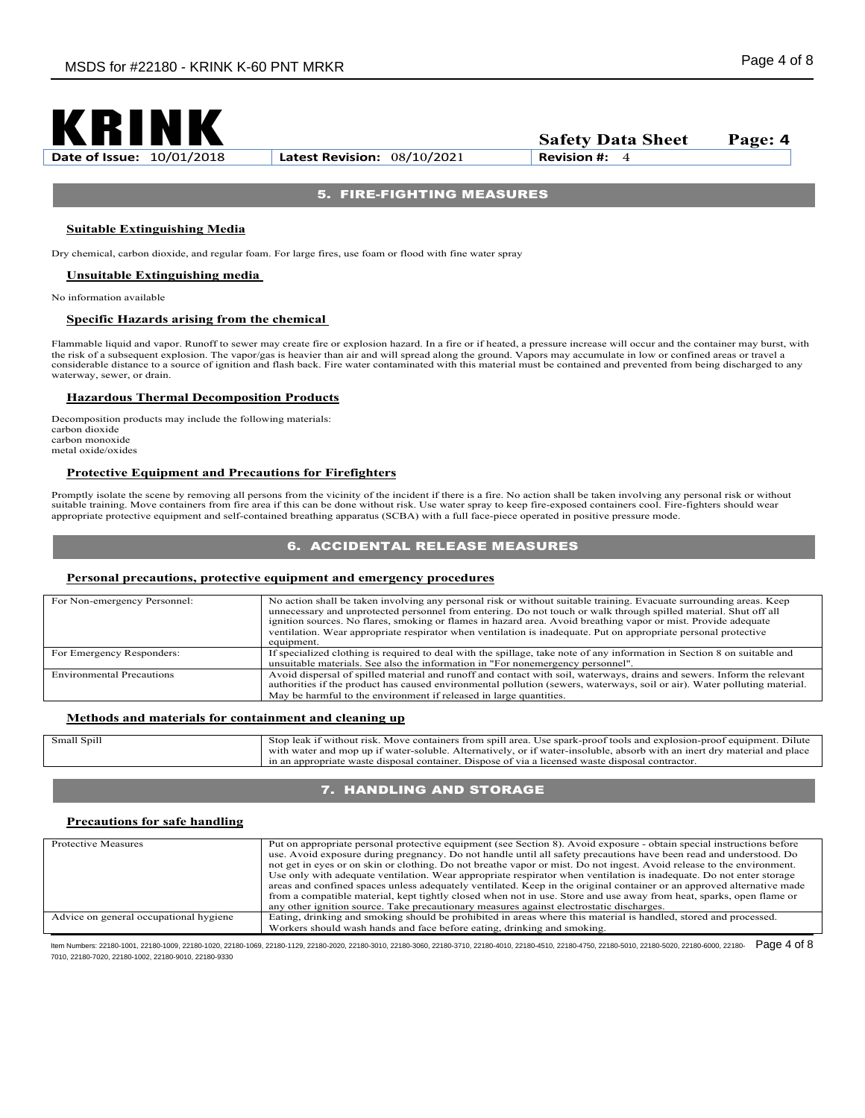

# 5. FIRE-FIGHTING MEASURES

#### **Suitable Extinguishing Media**

Dry chemical, carbon dioxide, and regular foam. For large fires, use foam or flood with fine water spray

**Unsuitable Extinguishing media** 

No information available

#### **Specific Hazards arising from the chemical**

Flammable liquid and vapor. Runoff to sewer may create fire or explosion hazard. In a fire or if heated, a pressure increase will occur and the container may burst, with<br>the risk of a subsequent explosion. The vapor/gas is considerable distance to a source of ignition and flash back. Fire water contaminated with this material must be contained and prevented from being discharged to any waterway, sewer, or drain.

#### **Hazardous Thermal Decomposition Products**

Decomposition products may include the following materials: carbon dioxide carbon monoxide metal oxide/oxides

#### **Protective Equipment and Precautions for Firefighters**

Promptly isolate the scene by removing all persons from the vicinity of the incident if there is a fire. No action shall be taken involving any personal risk or without suitable training. Move containers from fire area if this can be done without risk. Use water spray to keep fire-exposed containers cool. Fire-fighters should wear appropriate protective equipment and self-contained breathing apparatus (SCBA) with a full face-piece operated in positive pressure mode.

## 6. ACCIDENTAL RELEASE MEASURES

#### **Personal precautions, protective equipment and emergency procedures**

| For Non-emergency Personnel:     | No action shall be taken involving any personal risk or without suitable training. Evacuate surrounding areas. Keep<br>unnecessary and unprotected personnel from entering. Do not touch or walk through spilled material. Shut off all<br>ignition sources. No flares, smoking or flames in hazard area. Avoid breathing vapor or mist. Provide adequate<br>ventilation. Wear appropriate respirator when ventilation is inadequate. Put on appropriate personal protective<br>equipment. |
|----------------------------------|--------------------------------------------------------------------------------------------------------------------------------------------------------------------------------------------------------------------------------------------------------------------------------------------------------------------------------------------------------------------------------------------------------------------------------------------------------------------------------------------|
| For Emergency Responders:        | If specialized clothing is required to deal with the spillage, take note of any information in Section 8 on suitable and                                                                                                                                                                                                                                                                                                                                                                   |
|                                  | unsuitable materials. See also the information in "For nonemergency personnel".                                                                                                                                                                                                                                                                                                                                                                                                            |
| <b>Environmental Precautions</b> | Avoid dispersal of spilled material and runoff and contact with soil, waterways, drains and sewers. Inform the relevant<br>authorities if the product has caused environmental pollution (sewers, waterways, soil or air). Water polluting material.<br>May be harmful to the environment if released in large quantities.                                                                                                                                                                 |

#### **Methods and materials for containment and cleaning up**

| Small Spill | Dilute<br>Stop<br>from spill area.<br>l explosion-proof equipment.<br>) leak 1† without risk.<br>. Use spark-proof tools and<br>Move containers              |
|-------------|--------------------------------------------------------------------------------------------------------------------------------------------------------------|
|             | t drv material and place<br>Alternatively. .<br>or if water-insoluble, absorb with an inert<br>$+$ water-soluble. $\lambda$<br>with<br>u water and mop up if |
|             | Dispose of via a licensed waste disposal contractor.<br>a appropriate waste disposal container.<br>ın an                                                     |

### 7. HANDLING AND STORAGE

#### **Precautions for safe handling**

| <b>Protective Measures</b>             | Put on appropriate personal protective equipment (see Section 8). Avoid exposure - obtain special instructions before<br>use. Avoid exposure during pregnancy. Do not handle until all safety precautions have been read and understood. Do<br>not get in eyes or on skin or clothing. Do not breathe vapor or mist. Do not ingest. Avoid release to the environment.<br>Use only with adequate ventilation. Wear appropriate respirator when ventilation is inadequate. Do not enter storage<br>areas and confined spaces unless adequately ventilated. Keep in the original container or an approved alternative made<br>from a compatible material, kept tightly closed when not in use. Store and use away from heat, sparks, open flame or<br>any other ignition source. Take precautionary measures against electrostatic discharges. |
|----------------------------------------|---------------------------------------------------------------------------------------------------------------------------------------------------------------------------------------------------------------------------------------------------------------------------------------------------------------------------------------------------------------------------------------------------------------------------------------------------------------------------------------------------------------------------------------------------------------------------------------------------------------------------------------------------------------------------------------------------------------------------------------------------------------------------------------------------------------------------------------------|
| Advice on general occupational hygiene | Eating, drinking and smoking should be prohibited in areas where this material is handled, stored and processed.                                                                                                                                                                                                                                                                                                                                                                                                                                                                                                                                                                                                                                                                                                                            |
|                                        | Workers should wash hands and face before eating, drinking and smoking.                                                                                                                                                                                                                                                                                                                                                                                                                                                                                                                                                                                                                                                                                                                                                                     |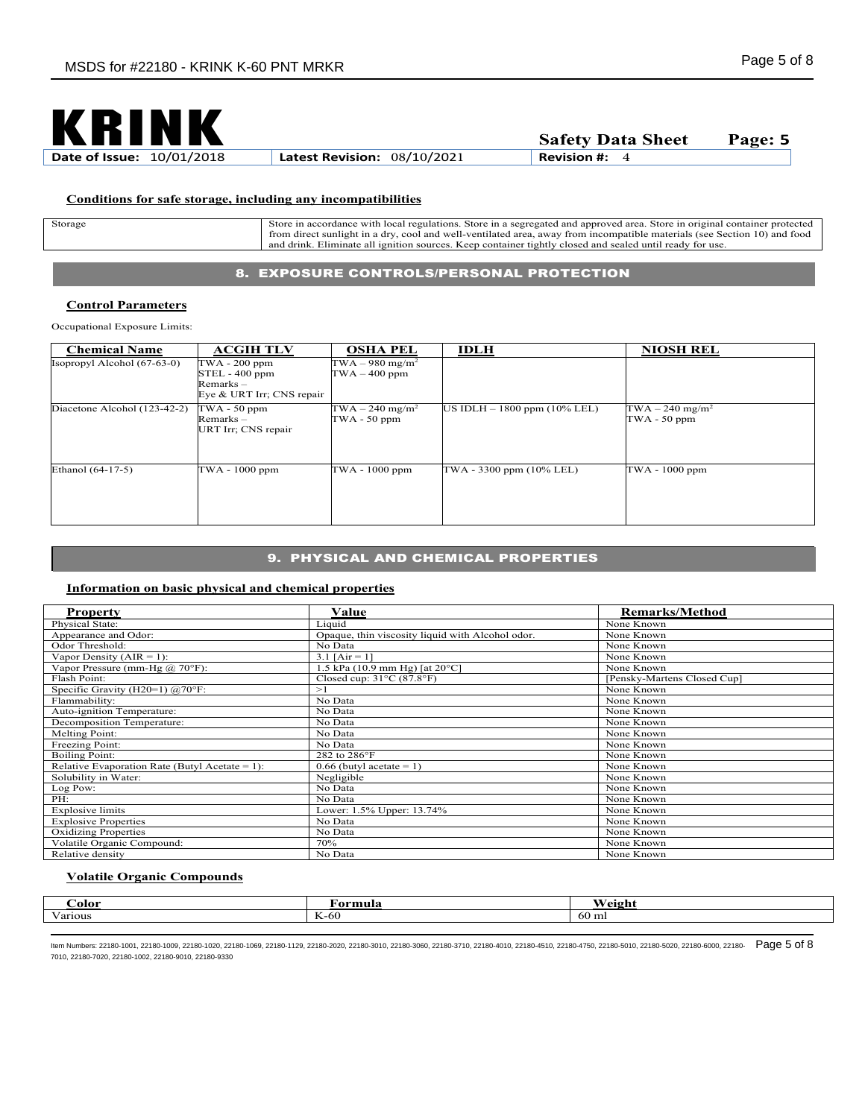

## **Conditions for safe storage, including any incompatibilities**

| Storage | regulations.<br>. Store in original container protected<br>Store in a segregated and approved area.<br>accordance with<br>local<br>Store in |
|---------|---------------------------------------------------------------------------------------------------------------------------------------------|
|         | from direct sunlight in a dry, cool and well-ventilated area, away from incompatible materials (see Section 10) and food                    |
|         | Eliminate all ignition sources<br>. Keep container tightly closed and sealed until ready for use.<br>and<br>. drink                         |

# 8. EXPOSURE CONTROLS/PERSONAL PROTECTION

#### **Control Parameters**

Occupational Exposure Limits:

| <b>Chemical Name</b>          | <b>ACGIH TLV</b>                                                              | <b>OSHA PEL</b>                                  | <b>IDLH</b>                       | <b>NIOSH REL</b>                                |
|-------------------------------|-------------------------------------------------------------------------------|--------------------------------------------------|-----------------------------------|-------------------------------------------------|
| $Isopropyl Alcohol (67-63-0)$ | TWA - 200 ppm<br>$STEL - 400$ ppm<br>$Remarks -$<br>Eye & URT Irr; CNS repair | $TWA - 980$ mg/m <sup>2</sup><br>$TWA - 400$ ppm |                                   |                                                 |
| Diacetone Alcohol (123-42-2)  | $TWA - 50$ ppm<br>Remarks-<br>URT Irr; CNS repair                             | $TWA - 240$ mg/m <sup>2</sup><br>$TWA - 50$ ppm  | US IDLH $- 1800$ ppm $(10\%$ LEL) | $TWA - 240$ mg/m <sup>2</sup><br>$TWA - 50$ ppm |
| Ethanol (64-17-5)             | TWA - 1000 ppm                                                                | TWA - 1000 ppm                                   | TWA - 3300 ppm (10% LEL)          | TWA - 1000 ppm                                  |

# 9. PHYSICAL AND CHEMICAL PROPERTIES

## **Information on basic physical and chemical properties**

| <b>Property</b>                                | Value                                             | <b>Remarks/Method</b>       |
|------------------------------------------------|---------------------------------------------------|-----------------------------|
| Physical State:                                | Liquid                                            | None Known                  |
| Appearance and Odor:                           | Opaque, thin viscosity liquid with Alcohol odor.  | None Known                  |
| Odor Threshold:                                | No Data                                           | None Known                  |
| Vapor Density ( $AIR = 1$ ):                   | 3.1 $[Air = 1]$                                   | None Known                  |
| Vapor Pressure (mm-Hg $(\omega$ 70°F):         | .5 kPa $(10.9 \text{ mm Hg})$ [at $20^{\circ}$ C] | None Known                  |
| Flash Point:                                   | Closed cup: $31^{\circ}$ C (87.8 $^{\circ}$ F)    | [Pensky-Martens Closed Cup] |
| Specific Gravity (H20=1) $@70^{\circ}$ F:      | >1                                                | None Known                  |
| Flammability:                                  | No Data                                           | None Known                  |
| Auto-ignition Temperature:                     | No Data                                           | None Known                  |
| Decomposition Temperature:                     | No Data                                           | None Known                  |
| Melting Point:                                 | No Data                                           | None Known                  |
| Freezing Point:                                | No Data                                           | None Known                  |
| <b>Boiling Point:</b>                          | 282 to 286°F                                      | None Known                  |
| Relative Evaporation Rate (Butyl Acetate = 1): | $0.66$ (butyl acetate = 1)                        | None Known                  |
| Solubility in Water:                           | Negligible                                        | None Known                  |
| Log Pow:                                       | No Data                                           | None Known                  |
| PH:                                            | No Data                                           | None Known                  |
| <b>Explosive limits</b>                        | Lower: 1.5% Upper: 13.74%                         | None Known                  |
| <b>Explosive Properties</b>                    | No Data                                           | None Known                  |
| <b>Oxidizing Properties</b>                    | No Data                                           | None Known                  |
| Volatile Organic Compound:                     | 70%                                               | None Known                  |
| Relative density                               | No Data                                           | None Known                  |

# **Volatile Organic Compounds**

| .`olor       | †ormula | <b>Weight</b><br>, степ |
|--------------|---------|-------------------------|
| $\mathbf{v}$ |         | - -                     |
| √arıous      | K-60    | 60 ml                   |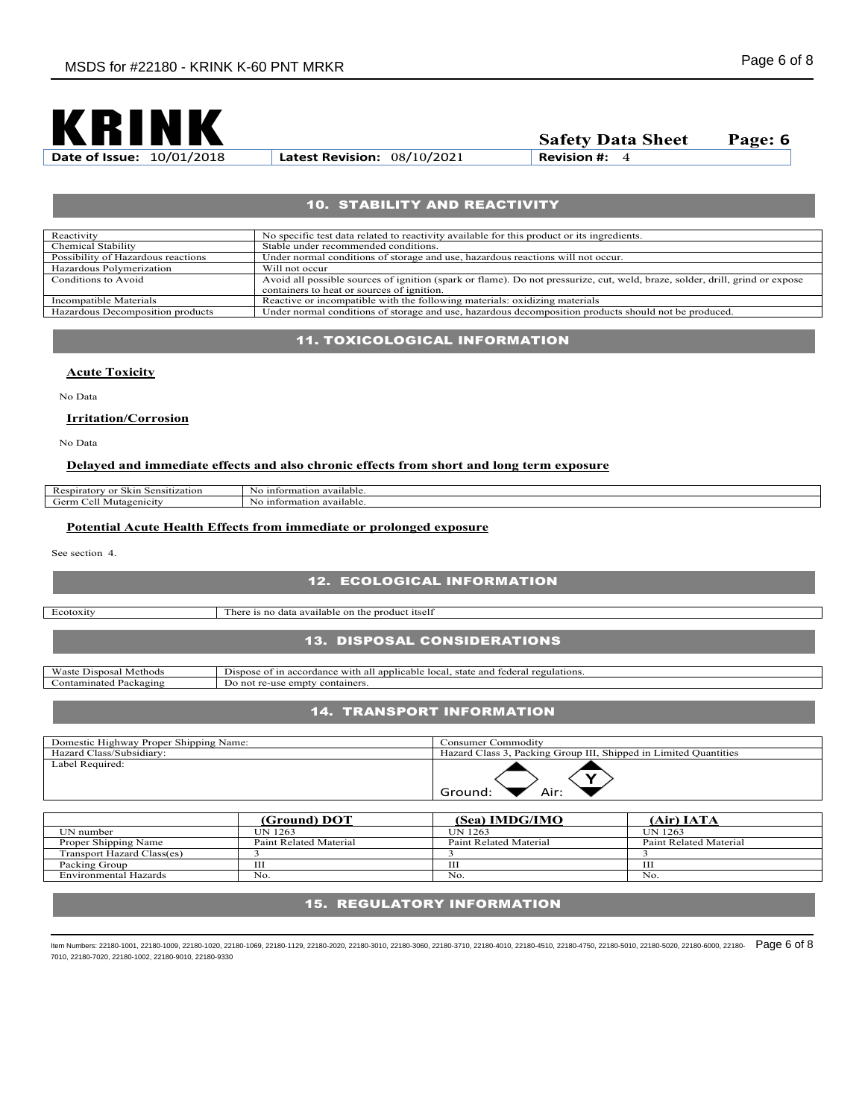

**Safety Data Sheet** Page: **6**<br>Revision #: 4

# 10. STABILITY AND REACTIVITY

| Reactivity                         | No specific test data related to reactivity available for this product or its ingredients.                                   |
|------------------------------------|------------------------------------------------------------------------------------------------------------------------------|
| Chemical Stability                 | Stable under recommended conditions.                                                                                         |
| Possibility of Hazardous reactions | Under normal conditions of storage and use, hazardous reactions will not occur.                                              |
| Hazardous Polymerization           | Will not occur                                                                                                               |
| Conditions to Avoid                | Avoid all possible sources of ignition (spark or flame). Do not pressurize, cut, weld, braze, solder, drill, grind or expose |
|                                    | containers to heat or sources of ignition.                                                                                   |
| Incompatible Materials             | Reactive or incompatible with the following materials: oxidizing materials                                                   |
| Hazardous Decomposition products   | Under normal conditions of storage and use, hazardous decomposition products should not be produced.                         |

## 11. TOXICOLOGICAL INFORMATION

#### **Acute Toxicity**

No Data

## **Irritation/Corrosion**

No Data

## **Delayed and immediate effects and also chronic effects from short and long term exposure**

| .503<br>$-1 - 4$<br>Sensitization<br>$1 + 1 + 1 + 1$<br>$\alpha$ r<br>- sрпают<br>3 K III | information available.<br>NU. |
|-------------------------------------------------------------------------------------------|-------------------------------|
| `≏rm .                                                                                    | available.                    |
| tagenicit                                                                                 | information                   |
|                                                                                           | ч.                            |

# **Potential Acute Health Effects from immediate or prolonged exposure**

See section 4.

# 12. ECOLOGICAL INFORMATION

Ecotoxity There is no data available on the product itself

# 13. DISPOSAL CONSIDERATIONS

| <b>Waste</b><br>Method<br>)ısno<br>)sai | -<br>state<br>$0+1$<br>regulations.<br>with<br>tederal<br>Jisnose<br>:able<br>local.<br>$\alpha$ m<br>anr<br>accor<br>$\mathbf{a}$<br>- |
|-----------------------------------------|-----------------------------------------------------------------------------------------------------------------------------------------|
| :ontamınateo<br>$\cdots$<br>ackagins'   | $\sim$<br>ontainers<br>empty:<br>-                                                                                                      |
|                                         |                                                                                                                                         |

# 14. TRANSPORT INFORMATION

| Domestic Highway Proper Shipping Name: | Consumer Commoditv                                               |
|----------------------------------------|------------------------------------------------------------------|
| Hazard Class/Subsidiary:               | Hazard Class 3, Packing Group III, Shipped in Limited Quantities |
| Label Required:                        | Air:<br>Ground:                                                  |

| (Ground) DOT           | (Sea) IMDG/IMO         | (Air) IATA             |
|------------------------|------------------------|------------------------|
| UN 1263                | UN 1263                | UN 1263                |
| Paint Related Material | Paint Related Material | Paint Related Material |
|                        |                        |                        |
| ш                      | ш                      | ш                      |
| No.                    | No                     | No.                    |
|                        |                        |                        |

# 15. REGULATORY INFORMATION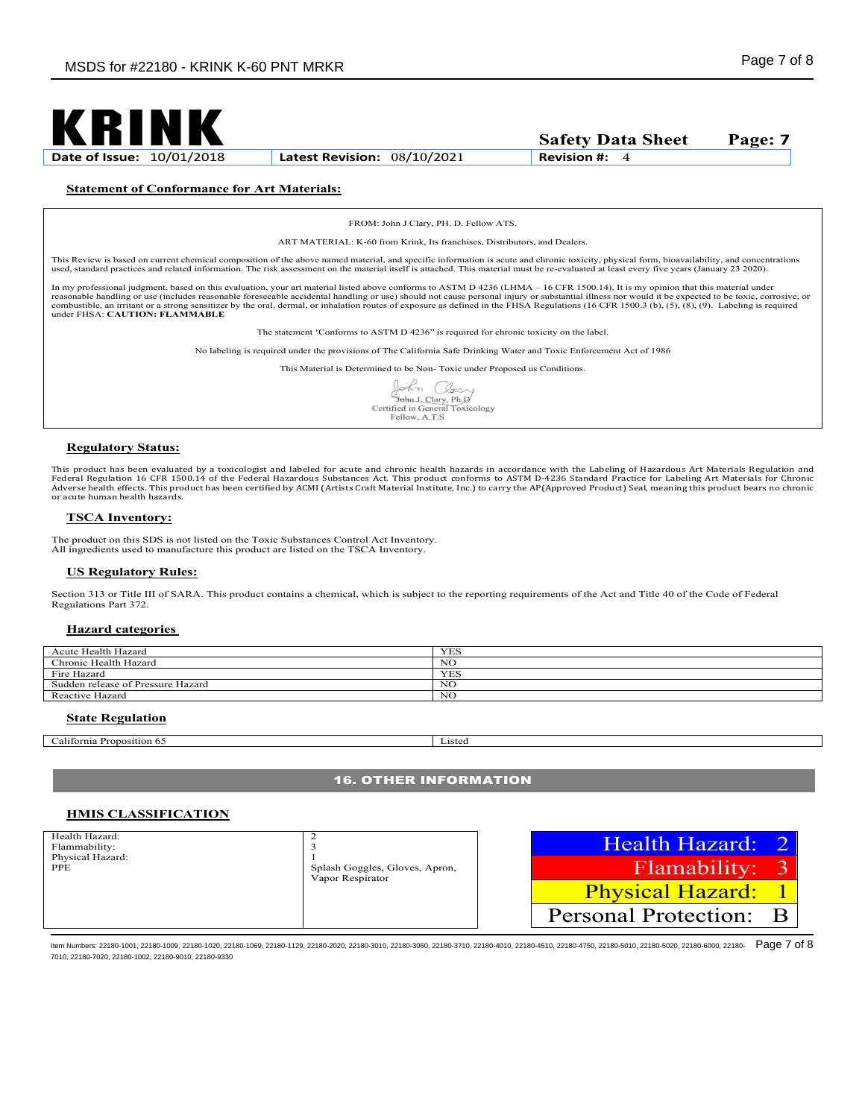

## **Statement of Conformance for Art Materials:**

FROM: John J Clary, PH. D. Fellow ATS.

ART MATERIAL: K-60 from Krink, Its franchises, Distributors, and Dealers.

This Review is based on current chemical composition of the above named material, and specific information is acute and chronic toxicity, physical form, bioavailability, and concentrations used, standard practices and related information. The risk assessment on the material itself is attached. This material must be re-evaluated at least every five years (January 23 2020).

In my professional judgment, based on this evaluation, your art material listed above conforms to ASTM D 4236 (LHMA – 16 CFR 1500.14). It is my opinion that this material under reasonable handling or use (includes reasonable foreseeable accidental handling or use) should not cause personal injury or substantial illness nor would it be expected to be toxic, corrosive, or<br>combustible, an irritant o under FHSA: **CAUTION: FLAMMABLE**

The statement 'Conforms to ASTM D 4236" is required for chronic toxicity on the label.

No labeling is required under the provisions of The California Safe Drinking Water and Toxic Enforcement Act of 1986

This Material is Determined to be Non- Toxic under Proposed us Conditions.

John Clari John L Clary, Ph. D<br>Certified in General Toxicology Fellow, A.T.S

#### **Regulatory Status:**

This product has been evaluated by a toxicologist and labeled for acute and chronic health hazards in accordance with the Labeling of Hazardous Art Materials Regulation and Federal Regulation 16 CFR 1500.14 of the Federal Hazardous Substances Act. This product conforms to ASTM D-4236 Standard Practice for Labeling Art Materials for Chronic<br>Adverse health effects. This product has been certifi or acute human health hazards.

#### **TSCA Inventory:**

The product on this SDS is not listed on the Toxic Substances Control Act Inventory. All ingredients used to manufacture this product are listed on the TSCA Inventory.

#### **US Regulatory Rules:**

Section 313 or Title III of SARA. This product contains a chemical, which is subject to the reporting requirements of the Act and Title 40 of the Code of Federal Regulations Part 372.

#### **Hazard categories**

| Acute Health Hazard               | <b>YES</b> |
|-----------------------------------|------------|
| Chronic Health Hazard             | NC         |
| Fire Hazard                       | <b>YES</b> |
| Sudden release of Pressure Hazard | NG.        |
| Reactive Hazard                   | NC         |

#### **State Regulation**

California Proposition 65 Listed

#### 16. OTHER INFORMATION

## **HMIS CLASSIFICATION**

| Health Hazard:<br>Flammability: |                                                    | Health Hazard: 2                 |
|---------------------------------|----------------------------------------------------|----------------------------------|
| Physical Hazard:<br><b>PPE</b>  | Splash Goggles, Gloves, Apron,<br>Vapor Respirator | Flamability: 3                   |
|                                 |                                                    | <b>Physical Hazard:</b>          |
|                                 |                                                    | <b>Personal Protection:</b><br>B |